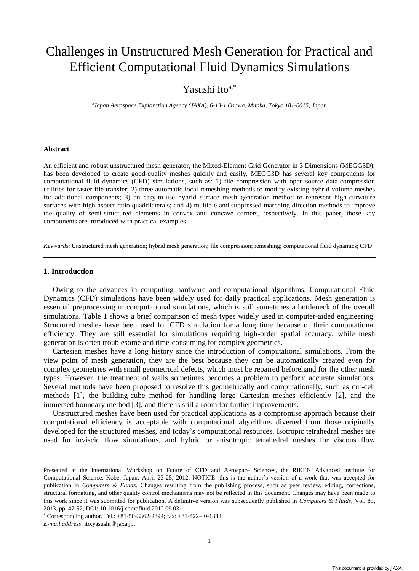# Challenges in Unstructured Mesh Generation for Practical and Efficient Computational Fluid Dynamics Simulations

# Yasushi Ito<sup>a,\*</sup>

*a Japan Aerospace Exploration Agency (JAXA), 6-13-1 Osawa, Mitaka, Tokyo 181-0015, Japan* 

#### **Abstract**

An efficient and robust unstructured mesh generator, the Mixed-Element Grid Generator in 3 Dimensions (MEGG3D), has been developed to create good-quality meshes quickly and easily. MEGG3D has several key components for computational fluid dynamics (CFD) simulations, such as: 1) file compression with open-source data-compression utilities for faster file transfer; 2) three automatic local remeshing methods to modify existing hybrid volume meshes for additional components; 3) an easy-to-use hybrid surface mesh generation method to represent high-curvature surfaces with high-aspect-ratio quadrilaterals; and 4) multiple and suppressed marching direction methods to improve the quality of semi-structured elements in convex and concave corners, respectively. In this paper, those key components are introduced with practical examples.

*Keywards*: Unstructured mesh generation; hybrid mesh generation; file compression; remeshing; computational fluid dynamics; CFD

#### **1. Introduction**

Owing to the advances in computing hardware and computational algorithms, Computational Fluid Dynamics (CFD) simulations have been widely used for daily practical applications. Mesh generation is essential preprocessing in computational simulations, which is still sometimes a bottleneck of the overall simulations. [Table 1](#page-7-0) shows a brief comparison of mesh types widely used in computer-aided engineering. Structured meshes have been used for CFD simulation for a long time because of their computational efficiency. They are still essential for simulations requiring high-order spatial accuracy, while mesh generation is often troublesome and time-consuming for complex geometries.

Cartesian meshes have a long history since the introduction of computational simulations. From the view point of mesh generation, they are the best because they can be automatically created even for complex geometries with small geometrical defects, which must be repaired beforehand for the other mesh types. However, the treatment of walls sometimes becomes a problem to perform accurate simulations. Several methods have been proposed to resolve this geometrically and computationally, such as cut-cell methods [\[1\]](#page-4-0), the building-cube method for handling large Cartesian meshes efficiently [\[2\]](#page-4-1), and the immersed boundary method [\[3\]](#page-4-2), and there is still a room for further improvements.

Unstructured meshes have been used for practical applications as a compromise approach because their computational efficiency is acceptable with computational algorithms diverted from those originally developed for the structured meshes, and today's computational resources. Isotropic tetrahedral meshes are used for inviscid flow simulations, and hybrid or anisotropic tetrahedral meshes for viscous flow

Presented at the International Workshop on Future of CFD and Aerospace Sciences, the RIKEN Advanced Institute for Computational Science, Kobe, Japan, April 23-25, 2012. NOTICE: this is the author's version of a work that was accepted for publication in *Computers & Fluids*. Changes resulting from the publishing process, such as peer review, editing, corrections, structural formatting, and other quality control mechanisms may not be reflected in this document. Changes may have been made to this work since it was submitted for publication. A definitive version was subsequently published in *Computers & Fluids*, Vol. 85, 2013, pp. 47-52, DOI: 10.1016/j.compfluid.2012.09.031.

<sup>\*</sup> Corresponding author. Tel.: +81-50-3362-2894; fax: +81-422-40-1382.

*E-mail address*: ito.yasushi@jaxa.jp.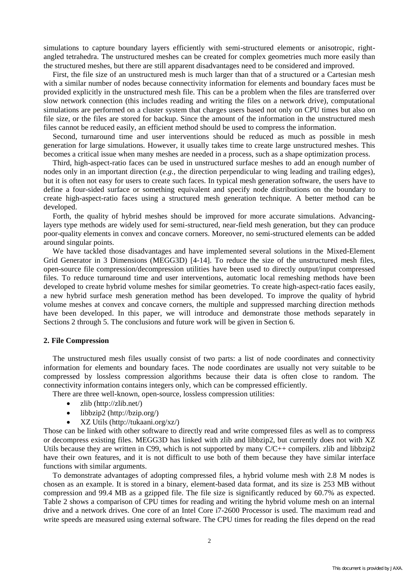simulations to capture boundary layers efficiently with semi-structured elements or anisotropic, rightangled tetrahedra. The unstructured meshes can be created for complex geometries much more easily than the structured meshes, but there are still apparent disadvantages need to be considered and improved.

First, the file size of an unstructured mesh is much larger than that of a structured or a Cartesian mesh with a similar number of nodes because connectivity information for elements and boundary faces must be provided explicitly in the unstructured mesh file. This can be a problem when the files are transferred over slow network connection (this includes reading and writing the files on a network drive), computational simulations are performed on a cluster system that charges users based not only on CPU times but also on file size, or the files are stored for backup. Since the amount of the information in the unstructured mesh files cannot be reduced easily, an efficient method should be used to compress the information.

Second, turnaround time and user interventions should be reduced as much as possible in mesh generation for large simulations. However, it usually takes time to create large unstructured meshes. This becomes a critical issue when many meshes are needed in a process, such as a shape optimization process.

Third, high-aspect-ratio faces can be used in unstructured surface meshes to add an enough number of nodes only in an important direction (*e.g.*, the direction perpendicular to wing leading and trailing edges), but it is often not easy for users to create such faces. In typical mesh generation software, the users have to define a four-sided surface or something equivalent and specify node distributions on the boundary to create high-aspect-ratio faces using a structured mesh generation technique. A better method can be developed.

Forth, the quality of hybrid meshes should be improved for more accurate simulations. Advancinglayers type methods are widely used for semi-structured, near-field mesh generation, but they can produce poor-quality elements in convex and concave corners. Moreover, no semi-structured elements can be added around singular points.

We have tackled those disadvantages and have implemented several solutions in the Mixed-Element Grid Generator in 3 Dimensions (MEGG3D) [\[4](#page-4-3)[-14\]](#page-5-0). To reduce the size of the unstructured mesh files, open-source file compression/decompression utilities have been used to directly output/input compressed files. To reduce turnaround time and user interventions, automatic local remeshing methods have been developed to create hybrid volume meshes for similar geometries. To create high-aspect-ratio faces easily, a new hybrid surface mesh generation method has been developed. To improve the quality of hybrid volume meshes at convex and concave corners, the multiple and suppressed marching direction methods have been developed. In this paper, we will introduce and demonstrate those methods separately in Sections [2](#page-1-0) through [5.](#page-3-0) The conclusions and future work will be given in Section [6.](#page-4-4)

### <span id="page-1-0"></span>**2. File Compression**

The unstructured mesh files usually consist of two parts: a list of node coordinates and connectivity information for elements and boundary faces. The node coordinates are usually not very suitable to be compressed by lossless compression algorithms because their data is often close to random. The connectivity information contains integers only, which can be compressed efficiently.

There are three well-known, open-source, lossless compression utilities:

- zlib (http://zlib.net/)
- libbzip2 [\(http://bzip.org/\)](http://bzip.org/)
- XZ Utils [\(http://tukaani.org/xz/\)](http://tukaani.org/xz/)

Those can be linked with other software to directly read and write compressed files as well as to compress or decompress existing files. MEGG3D has linked with zlib and libbzip2, but currently does not with XZ Utils because they are written in C99, which is not supported by many  $C/C++$  compilers. zlib and libbzip2 have their own features, and it is not difficult to use both of them because they have similar interface functions with similar arguments.

To demonstrate advantages of adopting compressed files, a hybrid volume mesh with 2.8 M nodes is chosen as an example. It is stored in a binary, element-based data format, and its size is 253 MB without compression and 99.4 MB as a gzipped file. The file size is significantly reduced by 60.7% as expected. [Table 2](#page-7-1) shows a comparison of CPU times for reading and writing the hybrid volume mesh on an internal drive and a network drives. One core of an Intel Core i7-2600 Processor is used. The maximum read and write speeds are measured using external software. The CPU times for reading the files depend on the read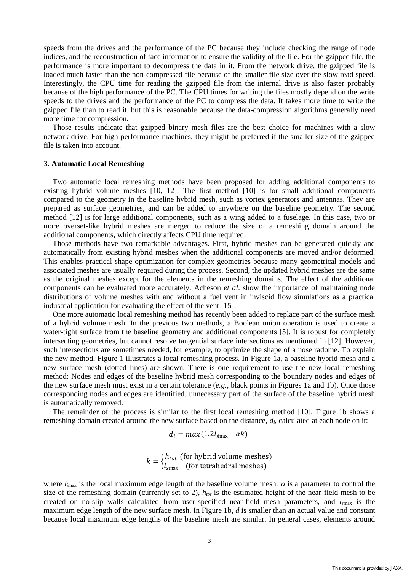speeds from the drives and the performance of the PC because they include checking the range of node indices, and the reconstruction of face information to ensure the validity of the file. For the gzipped file, the performance is more important to decompress the data in it. From the network drive, the gzipped file is loaded much faster than the non-compressed file because of the smaller file size over the slow read speed. Interestingly, the CPU time for reading the gzipped file from the internal drive is also faster probably because of the high performance of the PC. The CPU times for writing the files mostly depend on the write speeds to the drives and the performance of the PC to compress the data. It takes more time to write the gzipped file than to read it, but this is reasonable because the data-compression algorithms generally need more time for compression.

Those results indicate that gzipped binary mesh files are the best choice for machines with a slow network drive. For high-performance machines, they might be preferred if the smaller size of the gzipped file is taken into account.

### **3. Automatic Local Remeshing**

Two automatic local remeshing methods have been proposed for adding additional components to existing hybrid volume meshes [\[10,](#page-4-5) [12\]](#page-5-1). The first method [\[10\]](#page-4-5) is for small additional components compared to the geometry in the baseline hybrid mesh, such as vortex generators and antennas. They are prepared as surface geometries, and can be added to anywhere on the baseline geometry. The second method [\[12\]](#page-5-1) is for large additional components, such as a wing added to a fuselage. In this case, two or more overset-like hybrid meshes are merged to reduce the size of a remeshing domain around the additional components, which directly affects CPU time required.

Those methods have two remarkable advantages. First, hybrid meshes can be generated quickly and automatically from existing hybrid meshes when the additional components are moved and/or deformed. This enables practical shape optimization for complex geometries because many geometrical models and associated meshes are usually required during the process. Second, the updated hybrid meshes are the same as the original meshes except for the elements in the remeshing domains. The effect of the additional components can be evaluated more accurately. Acheson *et al*. show the importance of maintaining node distributions of volume meshes with and without a fuel vent in inviscid flow simulations as a practical industrial application for evaluating the effect of the vent [\[15\]](#page-5-2).

One more automatic local remeshing method has recently been added to replace part of the surface mesh of a hybrid volume mesh. In the previous two methods, a Boolean union operation is used to create a water-tight surface from the baseline geometry and additional components [\[5\]](#page-4-6). It is robust for completely intersecting geometries, but cannot resolve tangential surface intersections as mentioned in [\[12\]](#page-5-1). However, such intersections are sometimes needed, for example, to optimize the shape of a nose radome. To explain the new method, [Figure 1](#page-5-3) illustrates a local remeshing process. In [Figure 1a](#page-5-3), a baseline hybrid mesh and a new surface mesh (dotted lines) are shown. There is one requirement to use the new local remeshing method: Nodes and edges of the baseline hybrid mesh corresponding to the boundary nodes and edges of the new surface mesh must exist in a certain tolerance (*e.g.*, black points in Figures 1a and 1b). Once those corresponding nodes and edges are identified, unnecessary part of the surface of the baseline hybrid mesh is automatically removed.

The remainder of the process is similar to the first local remeshing method [\[10\]](#page-4-5). [Figure 1b](#page-5-3) shows a remeshing domain created around the new surface based on the distance, *di*, calculated at each node on it:

$$
d_i = max(1.2l_{\text{max}} \quad \alpha k)
$$

$$
k = \begin{cases} h_{tot} & \text{(for hybrid volume meshes)}\\ l_{smax} & \text{(for tetrahedral meshes)} \end{cases}
$$

where  $l_{\text{imax}}$  is the local maximum edge length of the baseline volume mesh,  $\alpha$  is a parameter to control the size of the remeshing domain (currently set to 2),  $h_{tot}$  is the estimated height of the near-field mesh to be created on no-slip walls calculated from user-specified near-field mesh parameters, and *ls*max is the maximum edge length of the new surface mesh. In [Figure 1b](#page-5-3), *d* is smaller than an actual value and constant because local maximum edge lengths of the baseline mesh are similar. In general cases, elements around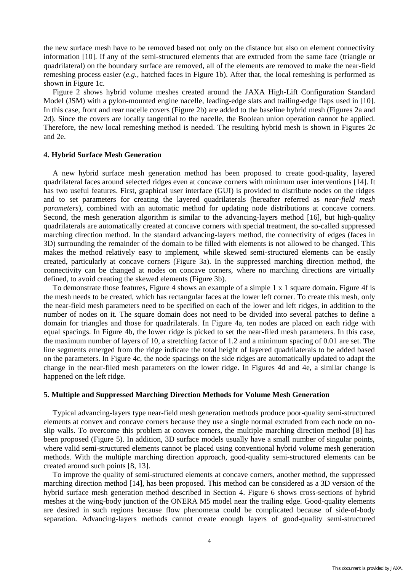the new surface mesh have to be removed based not only on the distance but also on element connectivity information [\[10\]](#page-4-5). If any of the semi-structured elements that are extruded from the same face (triangle or quadrilateral) on the boundary surface are removed, all of the elements are removed to make the near-field remeshing process easier (*e.g.*, hatched faces in [Figure 1b](#page-5-3)). After that, the local remeshing is performed as shown in [Figure 1c](#page-5-3).

[Figure 2](#page-5-4) shows hybrid volume meshes created around the JAXA High-Lift Configuration Standard Model (JSM) with a pylon-mounted engine nacelle, leading-edge slats and trailing-edge flaps used in [\[10\]](#page-4-5). In this case, front and rear nacelle covers [\(Figure 2b](#page-5-4)) are added to the baseline hybrid mesh (Figures 2a and 2d). Since the covers are locally tangential to the nacelle, the Boolean union operation cannot be applied. Therefore, the new local remeshing method is needed. The resulting hybrid mesh is shown in Figures 2c and 2e.

# <span id="page-3-1"></span>**4. Hybrid Surface Mesh Generation**

A new hybrid surface mesh generation method has been proposed to create good-quality, layered quadrilateral faces around selected ridges even at concave corners with minimum user interventions [\[14\]](#page-5-0). It has two useful features. First, graphical user interface (GUI) is provided to distribute nodes on the ridges and to set parameters for creating the layered quadrilaterals (hereafter referred as *near-field mesh parameters*), combined with an automatic method for updating node distributions at concave corners. Second, the mesh generation algorithm is similar to the advancing-layers method [\[16\]](#page-5-5), but high-quality quadrilaterals are automatically created at concave corners with special treatment, the so-called suppressed marching direction method. In the standard advancing-layers method, the connectivity of edges (faces in 3D) surrounding the remainder of the domain to be filled with elements is not allowed to be changed. This makes the method relatively easy to implement, while skewed semi-structured elements can be easily created, particularly at concave corners [\(Figure 3a](#page-6-0)). In the suppressed marching direction method, the connectivity can be changed at nodes on concave corners, where no marching directions are virtually defined, to avoid creating the skewed elements [\(Figure 3b](#page-6-0)).

To demonstrate those features, [Figure 4](#page-6-1) shows an example of a simple 1 x 1 square domain. [Figure 4f](#page-6-1) is the mesh needs to be created, which has rectangular faces at the lower left corner. To create this mesh, only the near-field mesh parameters need to be specified on each of the lower and left ridges, in addition to the number of nodes on it. The square domain does not need to be divided into several patches to define a domain for triangles and those for quadrilaterals. In [Figure 4a](#page-6-1), ten nodes are placed on each ridge with equal spacings. In [Figure 4b](#page-6-1), the lower ridge is picked to set the near-filed mesh parameters. In this case, the maximum number of layers of 10, a stretching factor of 1.2 and a minimum spacing of 0.01 are set. The line segments emerged from the ridge indicate the total height of layered quadrilaterals to be added based on the parameters. In [Figure 4c](#page-6-1), the node spacings on the side ridges are automatically updated to adapt the change in the near-filed mesh parameters on the lower ridge. In Figures 4d and 4e, a similar change is happened on the left ridge.

# <span id="page-3-0"></span>**5. Multiple and Suppressed Marching Direction Methods for Volume Mesh Generation**

Typical advancing-layers type near-field mesh generation methods produce poor-quality semi-structured elements at convex and concave corners because they use a single normal extruded from each node on noslip walls. To overcome this problem at convex corners, the multiple marching direction method [\[8\]](#page-4-7) has been proposed [\(Figure 5\)](#page-6-2). In addition, 3D surface models usually have a small number of singular points, where valid semi-structured elements cannot be placed using conventional hybrid volume mesh generation methods. With the multiple marching direction approach, good-quality semi-structured elements can be created around such points [\[8,](#page-4-7) [13\]](#page-5-6).

To improve the quality of semi-structured elements at concave corners, another method, the suppressed marching direction method [\[14\]](#page-5-0), has been proposed. This method can be considered as a 3D version of the hybrid surface mesh generation method described in Section [4.](#page-3-1) [Figure 6](#page-7-2) shows cross-sections of hybrid meshes at the wing-body junction of the ONERA M5 model near the trailing edge. Good-quality elements are desired in such regions because flow phenomena could be complicated because of side-of-body separation. Advancing-layers methods cannot create enough layers of good-quality semi-structured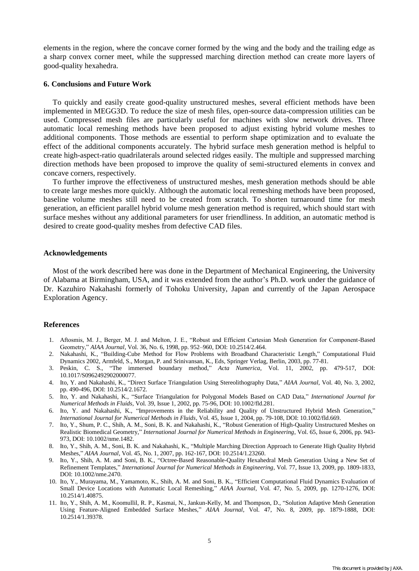elements in the region, where the concave corner formed by the wing and the body and the trailing edge as a sharp convex corner meet, while the suppressed marching direction method can create more layers of good-quality hexahedra.

# <span id="page-4-4"></span>**6. Conclusions and Future Work**

To quickly and easily create good-quality unstructured meshes, several efficient methods have been implemented in MEGG3D. To reduce the size of mesh files, open-source data-compression utilities can be used. Compressed mesh files are particularly useful for machines with slow network drives. Three automatic local remeshing methods have been proposed to adjust existing hybrid volume meshes to additional components. Those methods are essential to perform shape optimization and to evaluate the effect of the additional components accurately. The hybrid surface mesh generation method is helpful to create high-aspect-ratio quadrilaterals around selected ridges easily. The multiple and suppressed marching direction methods have been proposed to improve the quality of semi-structured elements in convex and concave corners, respectively.

To further improve the effectiveness of unstructured meshes, mesh generation methods should be able to create large meshes more quickly. Although the automatic local remeshing methods have been proposed, baseline volume meshes still need to be created from scratch. To shorten turnaround time for mesh generation, an efficient parallel hybrid volume mesh generation method is required, which should start with surface meshes without any additional parameters for user friendliness. In addition, an automatic method is desired to create good-quality meshes from defective CAD files.

#### **Acknowledgements**

Most of the work described here was done in the Department of Mechanical Engineering, the University of Alabama at Birmingham, USA, and it was extended from the author's Ph.D. work under the guidance of Dr. Kazuhiro Nakahashi formerly of Tohoku University, Japan and currently of the Japan Aerospace Exploration Agency.

#### **References**

- <span id="page-4-0"></span>1. Aftosmis, M. J., Berger, M. J. and Melton, J. E., "Robust and Efficient Cartesian Mesh Generation for Component-Based Geometry," *AIAA Journal*, Vol. 36, No. 6, 1998, pp. 952–960, DOI: 10.2514/2.464.
- <span id="page-4-1"></span>2. Nakahashi, K., "Building-Cube Method for Flow Problems with Broadband Characteristic Length," Computational Fluid Dynamics 2002, Armfeld, S., Morgan, P. and Srinivansan, K., Eds, Springer Verlag, Berlin, 2003, pp. 77-81.
- <span id="page-4-2"></span>3. Peskin, C. S., "The immersed boundary method," *Acta Numerica,* Vol. 11, 2002, pp. 479-517, DOI: 10.1017/S0962492902000077.
- <span id="page-4-3"></span>4. Ito, Y. and Nakahashi, K., "Direct Surface Triangulation Using Stereolithography Data," *AIAA Journal*, Vol. 40, No. 3, 2002, pp. 490-496, DOI: 10.2514/2.1672.
- <span id="page-4-6"></span>5. Ito, Y. and Nakahashi, K., "Surface Triangulation for Polygonal Models Based on CAD Data," *International Journal for Numerical Methods in Fluids*, Vol. 39, Issue 1, 2002, pp. 75-96, DOI: 10.1002/fld.281.
- 6. Ito, Y. and Nakahashi, K., "Improvements in the Reliability and Quality of Unstructured Hybrid Mesh Generation," *International Journal for Numerical Methods in Fluids*, Vol. 45, Issue 1, 2004, pp. 79-108, DOI: 10.1002/fld.669.
- 7. Ito, Y., Shum, P. C., Shih, A. M., Soni, B. K. and Nakahashi, K., "Robust Generation of High-Quality Unstructured Meshes on Realistic Biomedical Geometry," *International Journal for Numerical Methods in Engineering*, Vol. 65, Issue 6, 2006, pp. 943- 973, DOI: 10.1002/nme.1482.
- <span id="page-4-7"></span>8. Ito, Y., Shih, A. M., Soni, B. K. and Nakahashi, K., "Multiple Marching Direction Approach to Generate High Quality Hybrid Meshes," *AIAA Journal*, Vol. 45, No. 1, 2007, pp. 162-167, DOI: 10.2514/1.23260.
- 9. Ito, Y., Shih, A. M. and Soni, B. K., "Octree-Based Reasonable-Quality Hexahedral Mesh Generation Using a New Set of Refinement Templates," *International Journal for Numerical Methods in Engineering*, Vol. 77, Issue 13, 2009, pp. 1809-1833, DOI: 10.1002/nme.2470.
- <span id="page-4-5"></span>10. Ito, Y., Murayama, M., Yamamoto, K., Shih, A. M. and Soni, B. K., "Efficient Computational Fluid Dynamics Evaluation of Small Device Locations with Automatic Local Remeshing," *AIAA Journal*, Vol. 47, No. 5, 2009, pp. 1270-1276, DOI: 10.2514/1.40875.
- 11. Ito, Y., Shih, A. M., Koomullil, R. P., Kasmai, N., Jankun-Kelly, M. and Thompson, D., "Solution Adaptive Mesh Generation Using Feature-Aligned Embedded Surface Meshes," *AIAA Journal*, Vol. 47, No. 8, 2009, pp. 1879-1888, DOI: 10.2514/1.39378.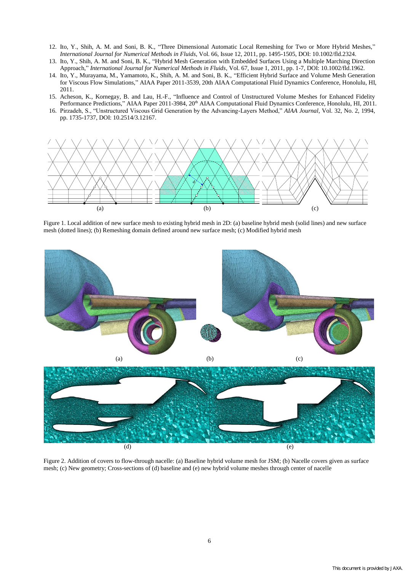- <span id="page-5-1"></span>12. Ito, Y., Shih, A. M. and Soni, B. K., "Three Dimensional Automatic Local Remeshing for Two or More Hybrid Meshes," *International Journal for Numerical Methods in Fluids*, Vol. 66, Issue 12, 2011, pp. 1495-1505, DOI: 10.1002/fld.2324.
- <span id="page-5-6"></span>13. Ito, Y., Shih, A. M. and Soni, B. K., "Hybrid Mesh Generation with Embedded Surfaces Using a Multiple Marching Direction Approach," *International Journal for Numerical Methods in Fluids*, Vol. 67, Issue 1, 2011, pp. 1-7, DOI: 10.1002/fld.1962.
- <span id="page-5-0"></span>14. Ito, Y., Murayama, M., Yamamoto, K., Shih, A. M. and Soni, B. K., "Efficient Hybrid Surface and Volume Mesh Generation for Viscous Flow Simulations," AIAA Paper 2011-3539, 20th AIAA Computational Fluid Dynamics Conference, Honolulu, HI, 2011.
- <span id="page-5-2"></span>15. Acheson, K., Kornegay, B. and Lau, H.-F., "Influence and Control of Unstructured Volume Meshes for Enhanced Fidelity Performance Predictions," AIAA Paper 2011-3984, 20<sup>th</sup> AIAA Computational Fluid Dynamics Conference, Honolulu, HI, 2011.
- <span id="page-5-5"></span>16. Pirzadeh, S., "Unstructured Viscous Grid Generation by the Advancing-Layers Method," *AIAA Journal*, Vol. 32, No. 2, 1994, pp. 1735-1737, DOI: 10.2514/3.12167.



<span id="page-5-3"></span>Figure 1. Local addition of new surface mesh to existing hybrid mesh in 2D: (a) baseline hybrid mesh (solid lines) and new surface mesh (dotted lines); (b) Remeshing domain defined around new surface mesh; (c) Modified hybrid mesh



<span id="page-5-4"></span>Figure 2. Addition of covers to flow-through nacelle: (a) Baseline hybrid volume mesh for JSM; (b) Nacelle covers given as surface mesh; (c) New geometry; Cross-sections of (d) baseline and (e) new hybrid volume meshes through center of nacelle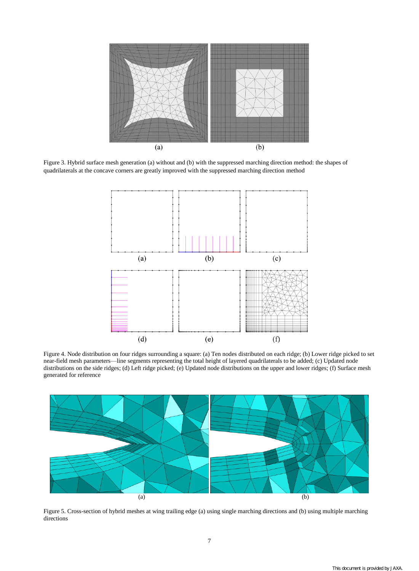

<span id="page-6-0"></span>Figure 3. Hybrid surface mesh generation (a) without and (b) with the suppressed marching direction method: the shapes of quadrilaterals at the concave corners are greatly improved with the suppressed marching direction method



<span id="page-6-1"></span>Figure 4. Node distribution on four ridges surrounding a square: (a) Ten nodes distributed on each ridge; (b) Lower ridge picked to set near-field mesh parameters—line segments representing the total height of layered quadrilaterals to be added; (c) Updated node distributions on the side ridges; (d) Left ridge picked; (e) Updated node distributions on the upper and lower ridges; (f) Surface mesh generated for reference



<span id="page-6-2"></span>Figure 5. Cross-section of hybrid meshes at wing trailing edge (a) using single marching directions and (b) using multiple marching directions